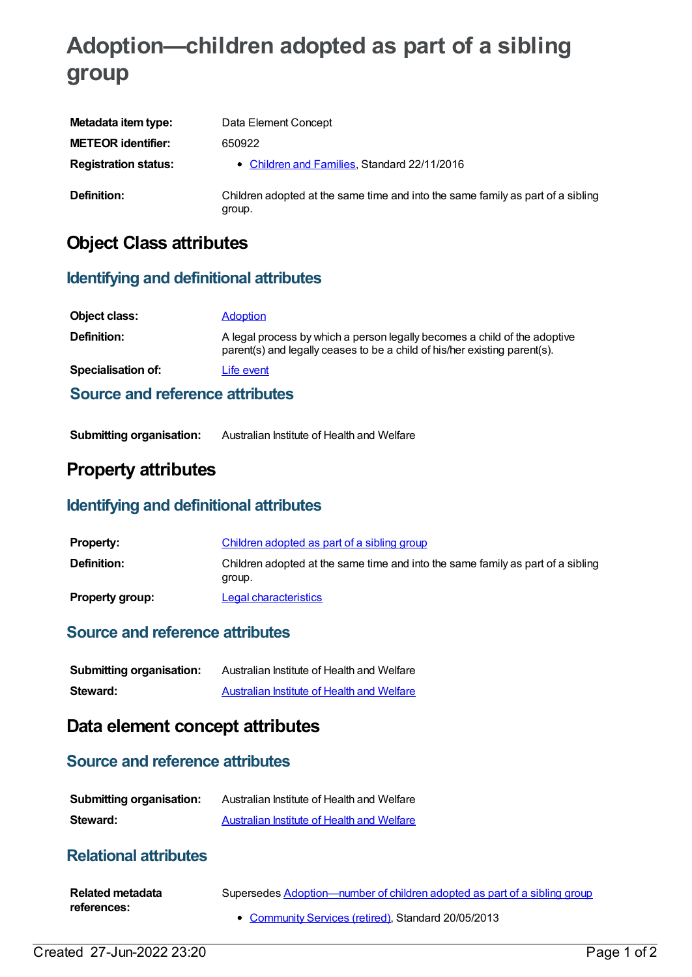# **Adoption—children adopted as part of a sibling group**

| Metadata item type:         | Data Element Concept                                                                      |
|-----------------------------|-------------------------------------------------------------------------------------------|
| <b>METEOR identifier:</b>   | 650922                                                                                    |
| <b>Registration status:</b> | • Children and Families, Standard 22/11/2016                                              |
| Definition:                 | Children adopted at the same time and into the same family as part of a sibling<br>group. |

# **Object Class attributes**

### **Identifying and definitional attributes**

| Object class:                          | <b>Adoption</b>                                                                                                                                        |
|----------------------------------------|--------------------------------------------------------------------------------------------------------------------------------------------------------|
| <b>Definition:</b>                     | A legal process by which a person legally becomes a child of the adoptive<br>parent(s) and legally ceases to be a child of his/her existing parent(s). |
| Specialisation of:                     | Life event                                                                                                                                             |
| <b>Source and reference attributes</b> |                                                                                                                                                        |

| <b>Submitting organisation:</b> | Australian Institute of Health and Welfare |
|---------------------------------|--------------------------------------------|
|---------------------------------|--------------------------------------------|

# **Property attributes**

## **Identifying and definitional attributes**

| <b>Property:</b>       | Children adopted as part of a sibling group                                               |
|------------------------|-------------------------------------------------------------------------------------------|
| Definition:            | Children adopted at the same time and into the same family as part of a sibling<br>group. |
| <b>Property group:</b> | Legal characteristics                                                                     |

#### **Source and reference attributes**

| <b>Submitting organisation:</b> | Australian Institute of Health and Welfare |
|---------------------------------|--------------------------------------------|
| Steward:                        | Australian Institute of Health and Welfare |

# **Data element concept attributes**

#### **Source and reference attributes**

| <b>Submitting organisation:</b> | Australian Institute of Health and Welfare |
|---------------------------------|--------------------------------------------|
| Steward:                        | Australian Institute of Health and Welfare |

## **Relational attributes**

| Related metadata | Supersedes Adoption—number of children adopted as part of a sibling group |
|------------------|---------------------------------------------------------------------------|
| references:      |                                                                           |
|                  | • Community Services (retired). Standard 20/05/2013                       |